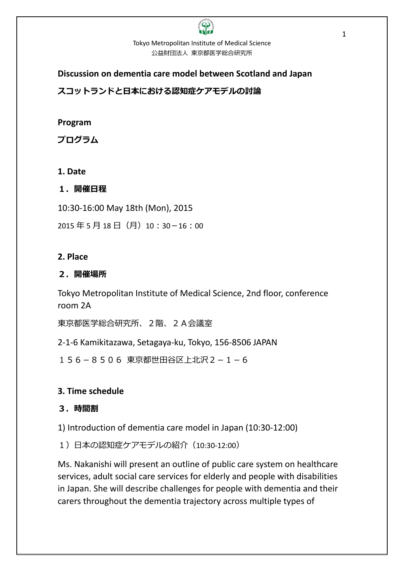# Tokyo Metropolitan Institute of Medical Science 公益財団法人 東京都医学総合研究所

#### **Discussion on dementia care model between Scotland and Japan**

スコットランドと日本における認知症ケアモデルの討論

# **Program**

プログラム

# **1. Date**

## 1.開催日程

10:30-16:00 May 18th (Mon), 2015

2015年5月18日(月)10:30-16:00

## **2. Place**

## 2.開催場所

Tokyo Metropolitan Institute of Medical Science, 2nd floor, conference room 2A

東京都医学総合研究所、2階、2A会議室

2-1-6 Kamikitazawa, Setagaya-ku, Tokyo, 156-8506 JAPAN

156-8506 東京都世田谷区上北沢2-1-6

# **3. Time schedule**

# 3.時間割

1) Introduction of dementia care model in Japan (10:30-12:00)

1)日本の認知症ケアモデルの紹介(10:30-12:00)

Ms. Nakanishi will present an outline of public care system on healthcare services, adult social care services for elderly and people with disabilities in Japan. She will describe challenges for people with dementia and their carers throughout the dementia trajectory across multiple types of